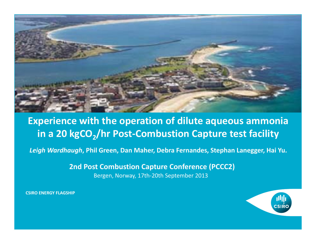

#### **Experience with the operation of dilute aqueous ammonia** in a 20 kgCO<sub>2</sub>/hr Post-Combustion Capture test facility

*Leigh Wardhaugh***, Phil Green, Dan Maher, Debra Fernandes, Stephan Lanegger, Hai Yu.**

**2nd Post Combustion Capture Conference (PCCC2)**

Bergen, Norway, 17th‐20th September 2013

**CSIRO ENERGY FLAGSHIP**

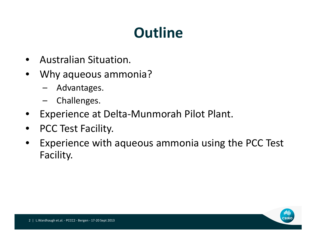# **Outline**

- $\bullet$ Australian Situation.
- $\bullet$  Why aqueous ammonia?
	- Advantages.
	- –Challenges.
- $\bullet$ Experience at Delta‐Munmorah Pilot Plant.
- $\bullet$ • PCC Test Facility.
- $\bullet$  Experience with aqueous ammonia using the PCC Test Facility.

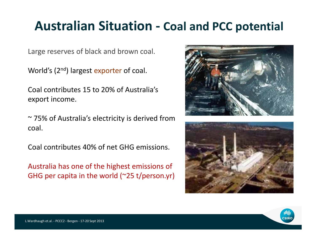### **Australian Situation ‐ Coal and PCC potential**

Large reserves of black and brown coal.

World's (2<sup>nd</sup>) largest exporter of coal.

Coal contributes 15 to 20% of Australia's export income.

~ 75% of Australia's electricity is derived from coal.

Coal contributes 40% of net GHG emissions.

Australia has one of the highest emissions of GHG per capita in the world (~25 t/person.yr)





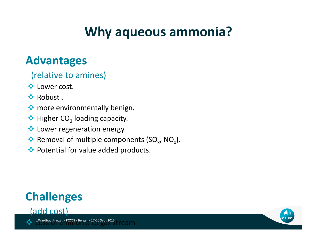## **Why aqueous ammonia?**

#### **Advantages**

(relative to amines)

- **\*** Lower cost.
- **☆ Robust**.
- $\bullet$  more environmentally benign.
- $\clubsuit$  Higher CO<sub>2</sub> loading capacity.
- **Lower regeneration energy.**
- Removal of multiple components (SO<sub>x</sub>, NO<sub>x</sub>).
- ◆ Potential for value added products.

### **Challenges**



 $\cdot \cdot$ L.Wardhaugh et.al. - PCCC2 - Bergen - 17-20 Sept 2013

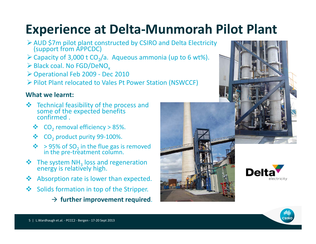## **Experience at Delta‐Munmorah Pilot Plant**

- AUD \$7m pilot plant constructed by CSIRO and Delta Electricity (support from APPCDC)
- $\triangleright$  Capacity of 3,000 t CO<sub>2</sub>/a. Aqueous ammonia (up to 6 wt%).
- $\blacktriangleright$  Black coal. No FGD/DeNO $_{\sf x}$
- Operational Feb 2009 ‐ Dec 2010
- Pilot Plant relocated to Vales Pt Power Station (NSWCCF)

#### **What we learnt:**

- ❖ Technical feasibility of the process and some of the expected benefits<br>confirmed .
	- ❖  $CO<sub>2</sub>$  removal efficiency > 85%.
	- $\frac{1}{2}$  $\textcolor{blue}{\clubsuit}$  CO<sub>2</sub> product purity 99-100%.
	- $\dots$  > 95% of SO<sub>2</sub> in the flue gas is removed in the pre-treatment column.
- $\clubsuit$  The system NH<sub>3</sub> loss and regeneration energy is relatively high.
- $\frac{1}{2}$ Absorption rate is lower than expected.
- $\frac{1}{2}$  Solids formation in top of the Stripper.
	- $\rightarrow$  further **improvement** required.



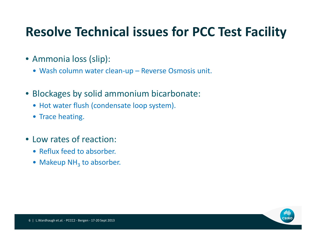## **Resolve Technical issues for PCC Test Facility**

- Ammonia loss (slip):
	- Wash column water clean‐up Reverse Osmosis unit.
- Blockages by solid ammonium bicarbonate:
	- Hot water flush (condensate loop system).
	- Trace heating.
- Low rates of reaction:
	- Reflux feed to absorber.
	- Makeup NH<sub>3</sub> to absorber.

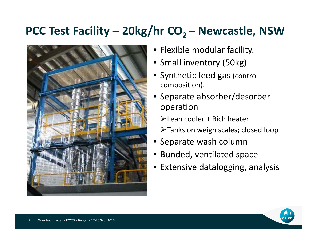#### **PCC Test Facility – 20kg/hr CO2 – Newcastle, NSW**



- Flexible modular facility.
- Small inventory (50kg)
- Synthetic feed gas (control composition).
- Separate absorber/desorber operation
	- Lean cooler <sup>+</sup> Rich heater
	- Tanks on weigh scales; closed loop
- Separate wash column
- Bunded, ventilated space
- Extensive datalogging, analysis

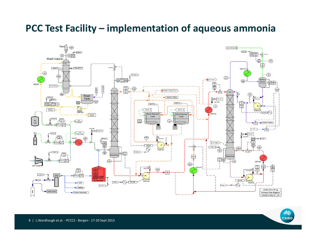#### **PCC Test Facility – implementation of aqueous ammonia**



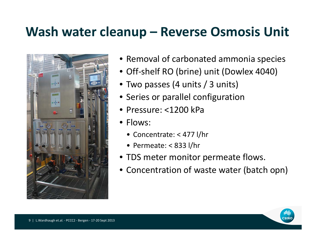### **Wash water cleanup – Reverse Osmosis Unit**



- Removal of carbonated ammonia species
- Off-shelf RO (brine) unit (Dowlex 4040)
- Two passes (4 units / 3 units)
- Series or parallel configuration
- Pressure: <1200 kPa
- Flows:
	- Concentrate: < 477 l/hr
	- Permeate: < 833 l/hr
- TDS meter monitor permeate flows.
- Concentration of waste water (batch opn)

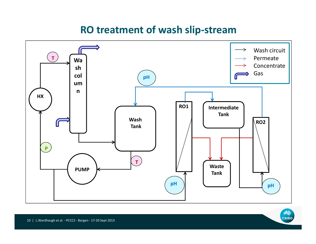#### **RO treatment of wash slip‐stream**



**THIL**<br>CSIRO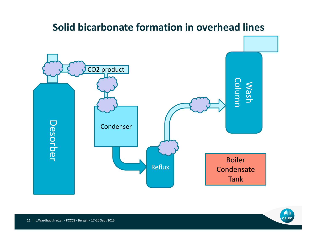

်။<mark>။</mark><br>|<br>|CSIRO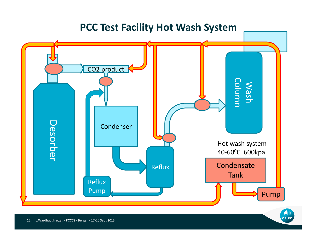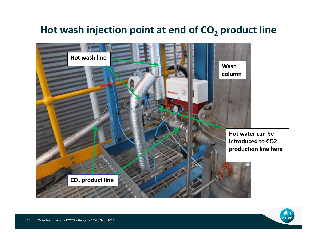#### **Hot wash injection point at end of CO2 product line**



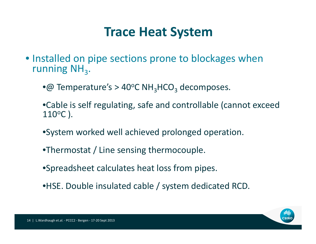### **Trace Heat System**

- Installed on pipe sections prone to blockages when running  $NH<sub>3</sub>$ .
	- $\bullet$ @ Temperature's > 40°C NH<sub>3</sub>HCO<sub>3</sub> decomposes.
	- •Cable is self regulating, safe and controllable (cannot exceed  $110^{\rm o}{\rm C}$  ).
	- •System worked well achieved prolonged operation.
	- •Thermostat / Line sensing thermocouple.
	- •Spreadsheet calculates heat loss from pipes.
	- •HSE. Double insulated cable / system dedicated RCD.

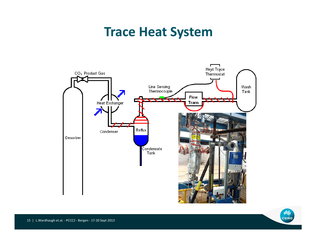### **Trace Heat System**



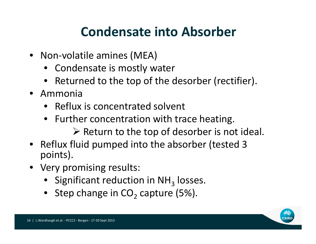## **Condensate into Absorber**

- Non‐volatile amines (MEA)
	- Condensate is mostly water
	- Returned to the top of the desorber (rectifier).
- Ammonia
	- Reflux is concentrated solvent
	- Further concentration with trace heating.
		- $\triangleright$  Return to the top of desorber is not ideal.
- Reflux fluid pumped into the absorber (tested 3 points).
- Very promising results:
	- Significant reduction in NH<sub>3</sub> losses.
	- Step change in CO<sub>2</sub> capture (5%).

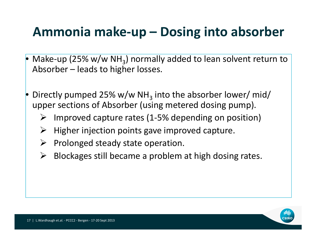## **Ammonia make‐up – Dosing into absorber**

- •Make-up (25% w/w NH<sub>3</sub>) normally added to lean solvent return to Absorber – leads to higher losses.
- • $\bullet$  Directly pumped 25% w/w NH<sub>3</sub> into the absorber lower/ mid/ upper sections of Absorber (using metered dosing pump).
	- ➤ Improved capture rates (1‐5% depending on position)
	- ➤ Higher injection points gave improved capture.
	- $\blacktriangleright$ Prolonged steady state operation.
	- ➤ Blockages still became <sup>a</sup> problem at high dosing rates.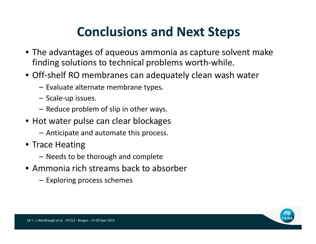## **Conclusions and Next Steps**

- The advantages of aqueous ammonia as capture solvent make finding solutions to technical problems worth‐while.
- Off‐shelf RO membranes can adequately clean wash water
	- Evaluate alternate membrane types.
	- Scale‐up issues.
	- Reduce problem of slip in other ways.
- Hot water pulse can clear blockages
	- Anticipate and automate this process.
- Trace Heating
	- Needs to be thorough and complete
- Ammonia rich streams back to absorber
	- Exploring process schemes